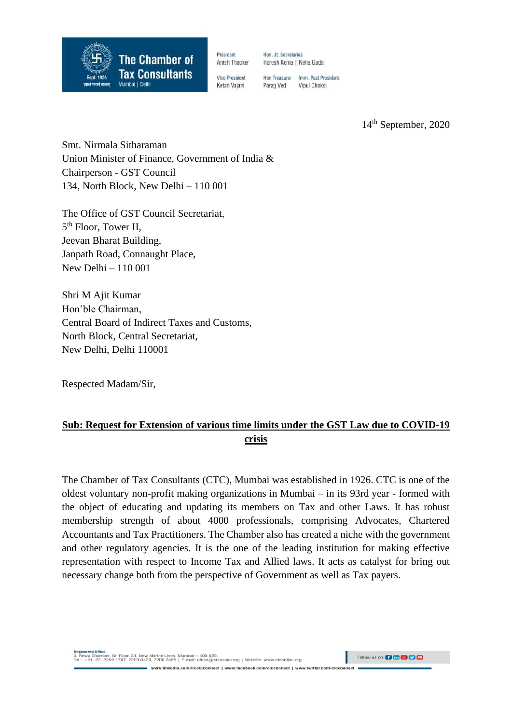

President Anish Thacker Hon, Jt. Secretaries Haresh Kenia | Neha Gada

**Vice President** Ketan Vajani

Hon Treasurer Imm. Past President Parag Ved Vinul Choksi

14 th September, 2020

Smt. Nirmala Sitharaman Union Minister of Finance, Government of India & Chairperson - GST Council 134, North Block, New Delhi – 110 001

The Office of GST Council Secretariat, 5<sup>th</sup> Floor, Tower II, Jeevan Bharat Building, Janpath Road, Connaught Place, New Delhi – 110 001

Shri M Ajit Kumar Hon'ble Chairman, Central Board of Indirect Taxes and Customs, North Block, Central Secretariat, New Delhi, Delhi 110001

Respected Madam/Sir,

# **Sub: Request for Extension of various time limits under the GST Law due to COVID-19 crisis**

The Chamber of Tax Consultants (CTC), Mumbai was established in 1926. CTC is one of the oldest voluntary non-profit making organizations in Mumbai – in its 93rd year - formed with the object of educating and updating its members on Tax and other Laws. It has robust membership strength of about 4000 professionals, comprising Advocates, Chartered Accountants and Tax Practitioners. The Chamber also has created a niche with the government and other regulatory agencies. It is the one of the leading institution for making effective representation with respect to Income Tax and Allied laws. It acts as catalyst for bring out necessary change both from the perspective of Government as well as Tax payers.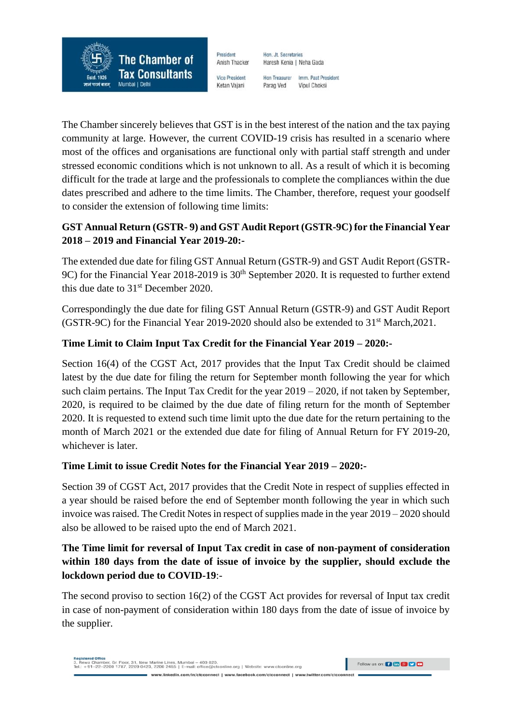President Anish Thacker

**The Chamber of** 

**Tax Consultants** 

Mumbai | Delh

Estd. 1926

Hon, Jt. Secretaries Haresh Kenia | Neha Gada

**Vice President** Ketan Vajani

Hon Treasurer Imm. Past President Vinul Choksi Parag Ved

The Chamber sincerely believes that GST is in the best interest of the nation and the tax paying community at large. However, the current COVID-19 crisis has resulted in a scenario where most of the offices and organisations are functional only with partial staff strength and under stressed economic conditions which is not unknown to all. As a result of which it is becoming difficult for the trade at large and the professionals to complete the compliances within the due dates prescribed and adhere to the time limits. The Chamber, therefore, request your goodself to consider the extension of following time limits:

### **GST Annual Return (GSTR- 9) and GST Audit Report (GSTR-9C) for the Financial Year 2018 – 2019 and Financial Year 2019-20:-**

The extended due date for filing GST Annual Return (GSTR-9) and GST Audit Report (GSTR-9C) for the Financial Year 2018-2019 is 30<sup>th</sup> September 2020. It is requested to further extend this due date to  $31<sup>st</sup>$  December 2020.

Correspondingly the due date for filing GST Annual Return (GSTR-9) and GST Audit Report (GSTR-9C) for the Financial Year 2019-2020 should also be extended to  $31<sup>st</sup>$  March, 2021.

# **Time Limit to Claim Input Tax Credit for the Financial Year 2019 – 2020:-**

Section 16(4) of the CGST Act, 2017 provides that the Input Tax Credit should be claimed latest by the due date for filing the return for September month following the year for which such claim pertains. The Input Tax Credit for the year 2019 – 2020, if not taken by September, 2020, is required to be claimed by the due date of filing return for the month of September 2020. It is requested to extend such time limit upto the due date for the return pertaining to the month of March 2021 or the extended due date for filing of Annual Return for FY 2019-20, whichever is later.

# **Time Limit to issue Credit Notes for the Financial Year 2019 – 2020:-**

Section 39 of CGST Act, 2017 provides that the Credit Note in respect of supplies effected in a year should be raised before the end of September month following the year in which such invoice was raised. The Credit Notes in respect of supplies made in the year 2019 – 2020 should also be allowed to be raised upto the end of March 2021.

### **The Time limit for reversal of Input Tax credit in case of non-payment of consideration within 180 days from the date of issue of invoice by the supplier, should exclude the lockdown period due to COVID-19**:-

The second proviso to section 16(2) of the CGST Act provides for reversal of Input tax credit in case of non-payment of consideration within 180 days from the date of issue of invoice by the supplier.

Follow us on: 0 6 8 9 9 8

nect